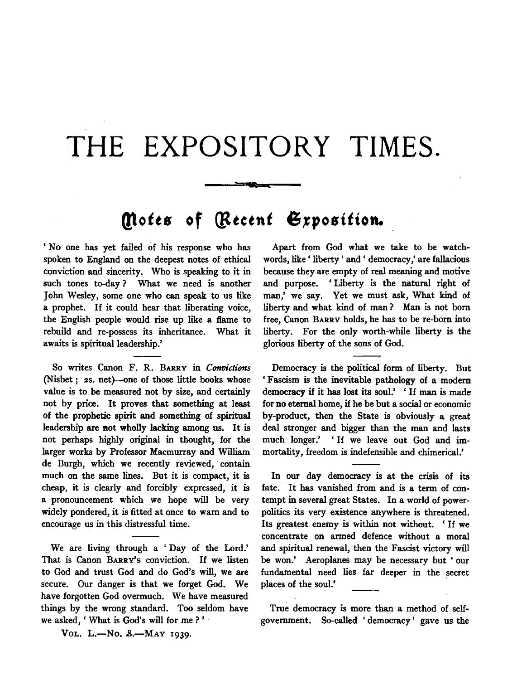## THE EXPOSITORY TIMES.

## **Qtotts of {lttctnt 6,position.**

سمود

' No one has yet failed of his response who has spoken to England on the deepest notes of ethical conviction and sincerity. Who is speaking to it in such tones to-day ? What we need is another John Wesley, some one who can speak to us like a prophet. If it could hear that liberating voice, the English people would rise up like a flame to rebuild and re-possess its inheritance. What it awaits is spiritual leadership.'

So writes Canon F. R. BARRY in *Convictions* (Nisbet; 2s. net)-one of those little books whose value is to be measured not by size, and certainly not by price. It proves that something at least of the prophetic spirit and something of spiritual leadership are not wholly lacking among us. It is not perhaps highly original in thought, for the larger works by Professor Macmurray and William de Burgh, which we recently reviewed, contain much on the same lines. But it is compact, it is cheap, it is clearly and forcibly expressed, it is a pronouncement which we hope will be very widely pondered, it is fitted at once to warn and to encourage us in this distressful time.

We are living through a 'Day of the Lord.' That is Canon BARRY'S conviction. If we listen to God and trust God and do God's will, we are secure. Our danger is that we forget God. We have forgotten God overmuch. We have measured things by the wrong standard. Too seldom have we asked, ' What is God's will for me ? '

Apart from God what we take to be watchwords, like' liberty' and' democracy,' are fallacious because they are empty of real meaning and motive and purpose. ' Liberty is the natural right of man,' we say. Yet we must ask, What kind of liberty and what kind of man ? Man is not born free, Canon BARRY holds, he has to be re-born into liberty. For the only worth-while liberty is the glorious liberty of the sons of God.

Democracy is the political form of liberty. But ' Fascism is the inevitable pathology of a modem democracy if it has lost its soul.' ' If man is made for no eternal home, if he be but a social or economic by-product, then the State is obviously a great deal stronger and bigger than the man and lasts much longer.' 'If we leave out God and immortality, freedom is indefensible and chimerical.'

In our day democracy is at the crisis of its fate. It has vanished from and is a term of contempt in several great States. In a world of powerpolitics its very existence anywhere is threatened. Its greatest enemy is within not without. ' If we concentrate on armed defence without a moral and spiritual renewal, then the Fascist victory will be won.' Aeroplanes may be necessary but ' our fundamental need lies far deeper in the secret places of the soul.'

True democracy is more than a method of selfgovernment. So-called ' democracy' gave us the

Vol. L.-No. 8.-MAY 1939.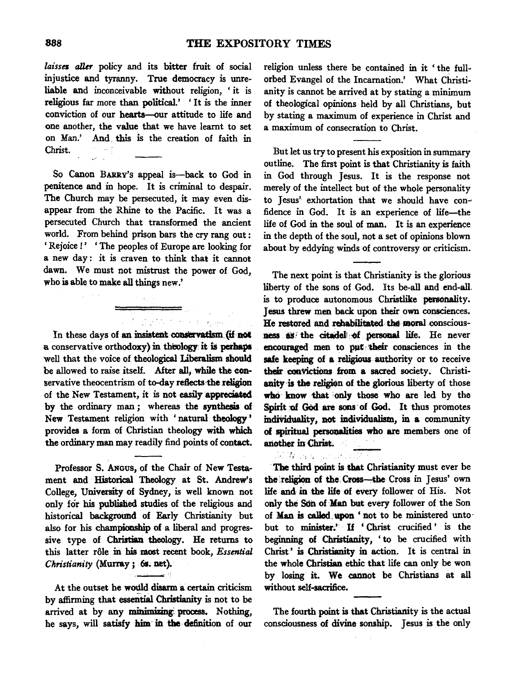laisses aller policy and its bitter fruit of social injustice and tyranny. True democracy is unreliable and inconceivable without religion, ' it is religious far more than political.' ' It is the inner conviction of our hearts-our attitude to life and one another, the value that we have learnt to set on Man.' And this is the creation of faith in Christ.

So Canon BARRv's appeal is-back to God in penitence and in hope. It is criminal to despair. The Church may be persecuted, it may even disappear from the Rhine to the Pacific. It was a persecuted Church that transformed the ancient world. From behind prison bars the cry rang out : ' Rejoice !' 'The peoples of Europe are looking for a new day : it is craven to think that it cannot dawn. We must not mistrust the power of God, who is able to make all things new.'

In these days of an insistent conservatism (if not a conservative orthodoxy) in theology it is perhaps well that the voice of theological Liberalism should be allowed to raise itself. After all, while the conservative theocentrism of to-day reflects the religion of the New Testament, it is not easily appreciated by the ordinary man *;* whereas the synthesis of New Testament religion with 'natural theology' provides a form of Christian theology with which the ordinary man may readily find points of contact.

Professor S. ANGus, of the Chair of New Testament and Historical Theology at St. Andrew's College, University of Sydney, is well known not only for his published studies of the religious and historical background of Early Christianity but also for his championship of a liberal and progressive type of Christian theology. He returns to this latter rôle in his most recent book, *Essential Christianity* (Murray; 6s. net).

At the outset he would disarm a certain criticism by affirming that essential Christianity is not to be arrived at by any minimizing: process. Nothing, he says, will satisfy him in the definition of our

religion unless there be contained in it ' the fullorbed Evangel of the Incarnation.' What Christianity is cannot be arrived at by stating a minimum of theological opinions held by all Christians, but by stating a maximum of experience in Christ and a maximum of consecration to Christ.

But let us try to present his exposition in summary outline. The first point is that Christianity is faith in God through Jesus. It is the response not merely of the intellect but of the whole personality to Jesus' exhortation that we should have confidence in God. It is an experience of life-the life of God in the soul of man. It is an experience in the depth of the soul, not a set of opinions blown about by eddying winds of controversy or criticism.

The next point is that Christianity is the glorious liberty of the sons of God. Its be-all and end-all. is to produce autonomous Christlike personality. Jesus threw men back upon their own consciences. He restored and rehabilitated the moral consciousness as the citadel of personal life. He never encouraged men to put their consciences in the safe keeping of a religious authority or to receive their convictions from a sacred society. Christianity is the religion of the glorious liberty of those who know that only those who are led by the Spirit of God are sons of God. It thus promotes individuality, not individualism, in a community of spiritual persoualities who are members one of another in Christ.

The third point is that Christianity must ever be the religion of the Cross-the Cross in Jesus' own life and in the life of every follower of His. Not only the Son of Man but every follower of the Son of Man is called upon 'not to be ministered unto. but to minister.' If ' Christ crucified ' is the beginning of Christianity, 'to be crucified with Christ' is Christianity in action. It is central in the whole Christian ethic that life can only be won by losing it. We cannot be Christians at all without self-sacrifice.

The fourth point is that Christianity is the actual consciousness of divine sonship. Jesus is the only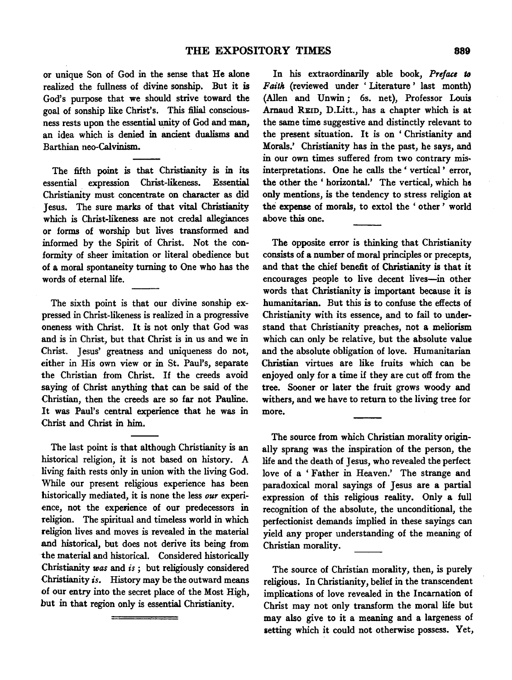or unique Son of God in the sense that He alone realized the fullness of divine sonship. But it is God's purpose that we should strive toward the goal of sonship like Christ's. This filial consciousness rests upon the essential unity of God and man, an idea which is denied in ancient dualisms and Barthian neo-Calvinism.

The fifth point is that Christianity is in its essential expression Christ-likeness. Essential Christianity must concentrate on character as did Jesus. The sure marks of that vital Christianity which is Christ-likeness are not credal allegiances or forms of worship but lives transformed and informed by the Spirit of Christ. Not the conformity of sheer imitation or literal obedience but of a moral spontaneity turning to One who has the words of eternal life.

The sixth point is that our divine sonship expressed in Christ-likeness is realized in a progressive oneness with Christ. It is not only that God was and is in Christ, but that Christ is in us and we in Christ. Jesus' greatness and uniqueness do not, either in His own view or in St. Paul's, separate the Christian from Christ. If the creeds avoid saying of Christ anything that can be said of the Christian, then the creeds are so far not Pauline. It was Paul's central experience that he was in Christ and Christ in him.

The last point is that although Christianity is an historical religion, it is not based on history. A living faith rests only in union with the living God. While our present religious experience has been historically mediated, it is none the less our experience, not the experience of our predecessors in religion. The spiritual and timeless world in which religion lives and moves is revealed in the material and historical, but does not derive its being from the material and historical. Considered historically Christianity *was* and *is* ; but religiously considered Christianity *is.* History may be the outward means of our entry into the secret place of the Most High, but in that region only is essential Christianity.

In his extraordinarily able book, Preface to *Faith* (reviewed under 'Literature' last month) (Allen and Unwin ; 6s. net), Professor Louis Arnaud REID, D.Litt., has a chapter which is at the same time suggestive and distinctly relevant to the present situation. It is on 'Christianity and Morals.' Christianity has in the past, he says, and in our own times suffered from two contrary mis· interpretations. One he calls the ' vertical ' error, the other the ' horizontal.' The vertical, which ha only mentions, is the tendency to stress religion at the expense of morals, to extol the ' other ' world above this one.

The opposite error is thinking that Christianity consists of a number of moral principles or precepts, and that the chief benefit of Christianity is that it encourages people to live decent lives-in other words that Christianity is important because it is humanitarian. But this is to confuse the effects of Christianity with its essence, and to fail to understand that Christianity preaches, not a meliorism which can only be relative, but the absolute value and the absolute obligation of love. Humanitarian Christian virtues are like fruits which can be enjoyed only for a time if they are cut off from the tree. Sooner or later the fruit grows woody and withers, and we have to return to the living tree for more.

The source from which Christian morality originally sprang was the inspiration of the person, the life and the death of Jesus, who revealed the perfect love of a ' Father in Heaven.' The strange and paradoxical moral sayings of Jesus are a partial expression of this religious reality. Only a full recognition of the absolute, the unconditional, the perfectionist demands implied in these sayings can yield any proper understanding of the meaning of Christian morality.

The source of Christian morality, then, is purely religious. In Christianity, belief in the transcendent implications of love revealed in the Incarnation of Christ may not only transform the moral life but may also give to it a meaning and a largeness of setting which it could not otherwise possess. Yet,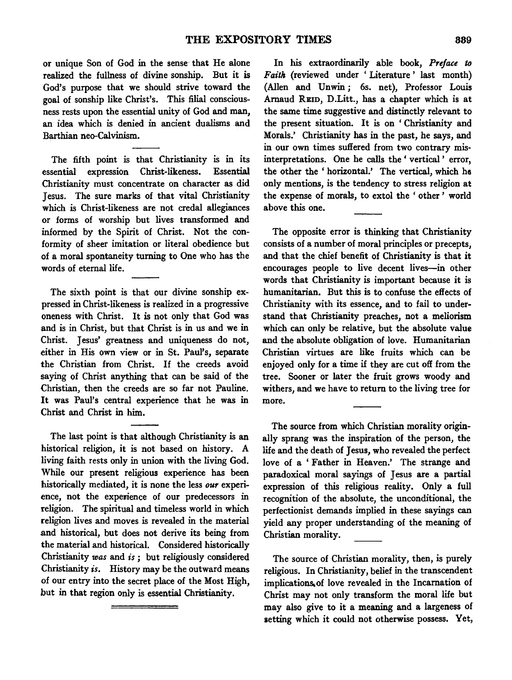or unique Son of God in the sense that He alone realized the fullness of divine sonship. But it is God's purpose that we should strive toward the goal of sonship like Christ's. This filial consciousness rests upon the essential unity of God and man, an idea which is denied in ancient dualisms and Barthian neo-Calvinism.

The fifth point is that Christianity is in its essential expression Christ-likeness. Essential Christianity must concentrate on character as did Jesus. The sure marks of that vital Christianity which is Christ-likeness are not credal allegiances or forms of worship but lives transformed and informed by the Spirit of Christ. Not the conformity of sheer imitation or literal obedience but of a moral spontaneity turning to One who has the words of eternal life.

The sixth point is that our divine sonship expressed in Christ-likeness is realized in a progressive oneness with Christ. It is not only that God was and is in Christ, but that Christ is in us and we in Christ. Jesus' greatness and uniqueness do not, either in His own view or in St. Paul's, separate the Christian from Christ. If the creeds avoid saying of Christ anything that can be said of the Christian, then the creeds are so far not Pauline. It was Paul's central experience that he was in Christ and Christ in him.

The last point is that although Christianity is an historical religion, it is not based on history. A living faith rests only in union with the living God. While our present religious experience has been historically mediated, it is none the less our experience, not the experience of our predecessors in religion. The spiritual and timeless world in which religion lives and moves is revealed in the material and historical, but does not derive its being from the material and historical. Considered historically Christianity *was* and *is ;* but religiously considered Christianity *is.* History may be the outward means of our entry into the secret place of the Most High, but in that region only is essential Christianity.

In his extraordinarily able book, Preface to *Faith* (reviewed under 'Literature' last month) (Allen and Unwin; 6s. net), Professor Louis Arnaud REID, D.Litt., has a chapter which is at the same time suggestive and distinctly relevant to the present situation. It is on 'Christianity and Morals.' Christianity has in the past, he says, and in our own times suffered from two contrary mis· interpretations. One he calls the ' vertical ' error, the other the ' horizontal.' The vertical, which ha only mentions, is the tendency to stress religion at the expense of morals, to extol the ' other ' world above this one.

The opposite error is thinking that Christianity consists of a number of moral principles or precepts, and that the chief benefit of Christianity is that it encourages people to live decent lives-in other words that Christianity is important because it is humanitarian. But this is to confuse the effects of Christianity with its essence, and to fail to understand that Christianity preaches, not a meliorism which can only be relative, but the absolute value and the absolute obligation of love. Humanitarian Christian virtues are like fruits which can be enjoyed only for a time if they are cut off from the tree. Sooner or later the fruit grows woody and withers, and we have to return to the living tree for more.

The source from which Christian morality originally sprang was the inspiration of the person, the life and the death of Jesus, who revealed the perfect love of a 'Father in Heaven.' The strange and paradoxical moral sayings of Jesus are a partial expression of this religious reality. Only a full recognition of the absolute, the unconditional, the perfectionist demands implied in these sayings can yield any proper understanding of the meaning of Christian morality.

The source of Christian morality, then, is purely religious. In Christianity, belief in the transcendent implications.of love revealed in the Incarnation of Christ may not only transform the moral life but may also give to it a meaning and a largeness of setting which it could not otherwise possess. Yet,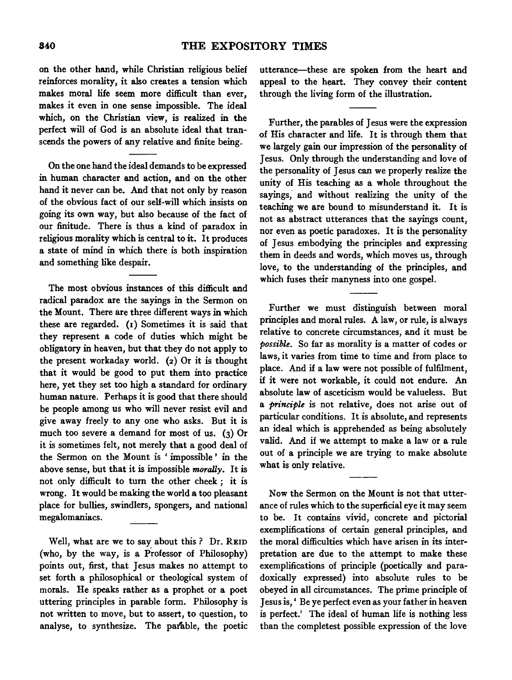on the other hand, while Christian religious belief reinforces morality, it also creates a tension which makes moral life seem more difficult than ever, makes it even in one sense impossible. The ideal which, on the Christian view, is realized in the perfect will of God is an absolute ideal that transcends the powers of any relative and finite being.

On the one hand the ideal demands to be expressed in human character and action, and on the other hand it never can be. And that not only by reason of the obvious fact of our self-will which insists on going its own way, but also because of the fact of our finitude. There is thus a kind of paradox in religious morality which is central to it. It produces a state of mind in which there is both inspiration and something like despair.

The most obvious instances of this difficult and radical paradox are the sayings in the Sermon on the Mount. There are three different ways in which these are regarded. (1) Sometimes it is said that they represent a code of duties which might be obligatory in heaven, but that they do not apply to the present workaday world. (2) Or it is thought that it would be good to put them into practice here, yet they set too high a standard for ordinary human nature. Perhaps it is good that there should be people among us who will never resist evil and give away freely to any one who asks. But it is much too severe a demand for most of us. (3) Or it is sometimes felt, not merely that a good deal of the Sermon on the Mount is ' impossible ' in the above sense, but that it is impossible *morally.* It is not only difficult to tum the other cheek ; it is wrong. It would be making the world a too pleasant place for bullies, swindlers, spongers, and national megalomaniacs.

Well, what are we to say about this? Dr. REID (who, by the way, is a Professor of Philosophy) points out, first, that Jesus makes no attempt to set forth a philosophical or theological system of morals. He speaks rather as a prophet or a poet uttering principles in parable form. Philosophy is not written to move, but to assert, to question, to analyse, to synthesize. The parable, the poetic utterance-these are spoken from the heart and appeal to the heart. They convey their content through the living form of the illustration.

Further, the parables of Jesus were the expression of His character and life. It is through them that we largely gain our impression of the personality of Jesus. Only through the understanding and love of the personality of Jesus can we properly realize the unity of His teaching as a whole throughout the sayings, and without realizing the unity of the teaching we are bound to misunderstand it. It is not as abstract utterances that the sayings count, nor even as poetic paradoxes. It is the personality of Jesus embodying the principles and expressing them in deeds and words, which moves us, through love, to the understanding of the principles, and which fuses their manyness into one gospel.

Further we must distinguish between moral principles and moral rules. A law, or rule, is always relative to concrete circumstances, and it must be *possible.* So far as morality is a matter of codes or laws, it varies from time to time and from place to place. And if a law were not possible of fulfilment, if it were not workable, it could not endure. An absolute law of asceticism would be valueless. But a *principle* is not relative, does not arise out of particular conditions. It is absolute, and represents an ideal which is apprehended as being absolutely valid. And if we attempt to make a law or a rule out of a principle we are trying to make absolute what is only relative.

Now the Sermon on the Mount is not that utterance of rules which to the superficial eye it may seem to be. It contains vivid, concrete and pictorial exemplifications of certain general principles, and the moral difficulties which have arisen in its interpretation are due to the attempt to make these exemplifications of principle (poetically and paradoxically expressed) into absolute rules to be obeyed in all circumstances. The prime principle of Jesus is, ' Be ye perfect even as your father in heaven is perfect.' The ideal of human life is nothing less than the completest possible expression of the love